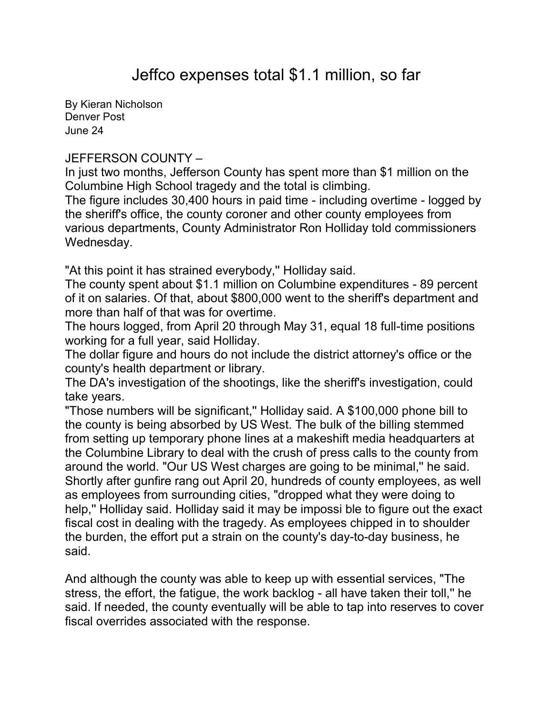By [Kieran Nicholson](mailto:newsroom@denverpost.com) Denver Post June 24

## JEFFERSON COUNTY –

In just two months, Jefferson County has spent more than \$1 million on the Columbine High School tragedy and the total is climbing.

The figure includes 30,400 hours in paid time - including overtime - logged by the sheriff's office, the county coroner and other county employees from various departments, County Administrator Ron Holliday told commissioners Wednesday.

"At this point it has strained everybody,'' Holliday said.

The county spent about \$1.1 million on Columbine expenditures - 89 percent of it on salaries. Of that, about \$800,000 went to the sheriff's department and more than half of that was for overtime.

The hours logged, from April 20 through May 31, equal 18 full-time positions working for a full year, said Holliday.

The dollar figure and hours do not include the district attorney's office or the county's health department or library.

The DA's investigation of the shootings, like the sheriff's investigation, could take years.

"Those numbers will be significant,'' Holliday said. A \$100,000 phone bill to the county is being absorbed by US West. The bulk of the billing stemmed from setting up temporary phone lines at a makeshift media headquarters at the Columbine Library to deal with the crush of press calls to the county from around the world. "Our US West charges are going to be minimal,'' he said. Shortly after gunfire rang out April 20, hundreds of county employees, as well as employees from surrounding cities, "dropped what they were doing to help,'' Holliday said. Holliday said it may be impossi ble to figure out the exact fiscal cost in dealing with the tragedy. As employees chipped in to shoulder the burden, the effort put a strain on the county's day-to-day business, he said.

And although the county was able to keep up with essential services, "The stress, the effort, the fatigue, the work backlog - all have taken their toll,'' he said. If needed, the county eventually will be able to tap into reserves to cover fiscal overrides associated with the response.